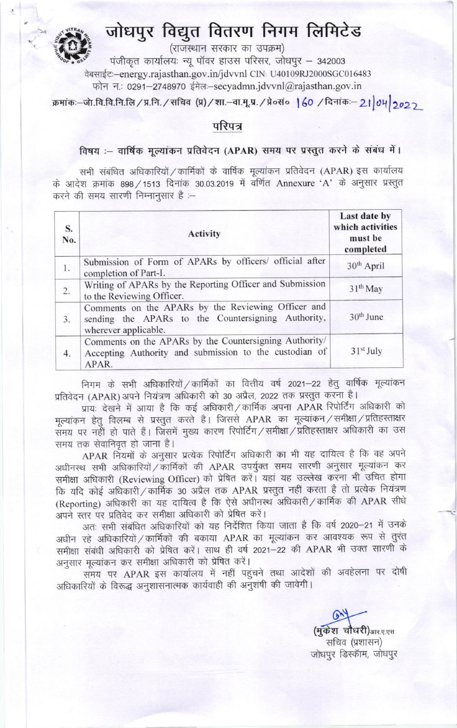## जोधपुर विद्युत वितरण निगम लिमिटेड



(राजस्थान सरकार का उपक्रम)

पंजीकृत कार्यालयः न्यू पॉवर हाउस परिसर, जोधपुर – 342003 वेबसाईटः-energy.rajasthan.gov.in/jdvvnl CIN: U40109RJ2000SGC016483 फोन न: 0291-2748970 ईमेल:-secyadmn.jdvvnl@rajasthan.gov.in

क्रमांकः-जो.वि.वि.नि.लि / प्र.नि. / सचिव (प्र) / शा.-वा.मू.प्र. / प्रे०सं० | 60 / दिनांकः- 2। 04 2022

## परिपत्र

## विषय :- वार्षिक मूल्यांकन प्रतिवेदन (APAR) समय पर प्रस्तुत करने के संबंध में।

सभी संबंधित अधिकारियों / कार्मिकों के वार्षिक मूल्यांकन प्रतिवेदन (APAR) इस कार्यालय के आदेश क्रमांक 898 / 1513 दिनांक 30.03.2019 में वर्णित Annexure 'A' के अनुसार प्रस्तुत करने की समय सारणी निम्नानुसार है :-

| S.<br>No. | <b>Activity</b>                                                                                                                  | Last date by<br>which activities<br>must be<br>completed |
|-----------|----------------------------------------------------------------------------------------------------------------------------------|----------------------------------------------------------|
| 1.        | Submission of Form of APARs by officers/ official after<br>completion of Part-I.                                                 | $30th$ April                                             |
| 2.        | Writing of APARs by the Reporting Officer and Submission<br>to the Reviewing Officer.                                            | 31 <sup>th</sup> May                                     |
| 3.        | Comments on the APARs by the Reviewing Officer and<br>sending the APARs to the Countersigning Authority,<br>wherever applicable. | $30th$ June                                              |
| 4.        | Comments on the APARs by the Countersigning Authority/<br>Accepting Authority and submission to the custodian of<br>APAR.        | $31st$ July                                              |

निगम के सभी अधिकारियों / कार्मिकों का वित्तीय वर्ष 2021-22 हेतु वार्षिक मूल्यांकन प्रतिवेदन (APAR) अपने नियंत्रण अधिकारी को 30 अप्रैल, 2022 तक प्रस्तुत करना है।

प्रायः देखने में आया है कि कई अधिकारी / कार्मिक अपना APAR रिपोर्टिंग अधिकारी को मूल्यांकन हेतु विलम्ब से प्रस्तुत करते है। जिससे APAR का मूल्यांकन / समीक्षा / प्रतिहस्ताक्षर समय पर नहीं हो पाते हैं। जिसमें मुख्य कारण रिपोर्टिंग / समीक्षा / प्रतिहस्ताक्षर अधिकारी का उस समय तक सेवानिवृत हो जाना है।

APAR नियमों के अनुसार प्रत्येक रिपोर्टिंग अधिकारी का भी यह दायित्व है कि वह अपने अधीनस्थ सभी अधिकारियों / कार्मिकों की APAR उपर्युक्त समय सारणी अनुसार मूल्यांकन कर समीक्षा अधिकारी (Reviewing Officer) को प्रेषित करें। यहां यह उल्लेख करना भी उचित होगा कि यदि कोई अधिकारी / कार्मिक 30 अप्रैल तक APAR प्रस्तुत नहीं करता है तो प्रत्येक नियंत्रण (Reporting) अधिकारी का यह दायित्व है कि ऐसे अधीनस्थ अधिकारी / कार्मिक की APAR सीधे अपने स्तर पर प्रतिवेद कर समीक्षा अधिकारी को प्रेषित करें।

अतः सभी संबंधित अधिकारियों को यह निर्देशित किया जाता है कि वर्ष 2020–21 में उनके अधीन रहे अधिकारियों / कार्मिकों की बकाया APAR का मूल्यांकन कर आवश्यक रूप से तुरंत समीक्षा संबंधी अधिकारी को प्रेषित करें। साथ ही वर्ष 2021–22 की APAR भी उक्त सारणी के अनुसार मूल्यांकन कर समीक्षा अधिकारी को प्रेषित करें।

समय पर APAR इस कार्यालय में नहीं पहुंचने तथा आदेशों की अवहेलना पर दोषी अधिकारियों के विरूद्ध अनुशासनात्मक कार्यवाही की अनुशंषी की जावेगी।

> (मुकेश चौधरी)आर.ए.एस सचिव (प्रशासन) जोधपुर डिस्कॉम, जोधपुर